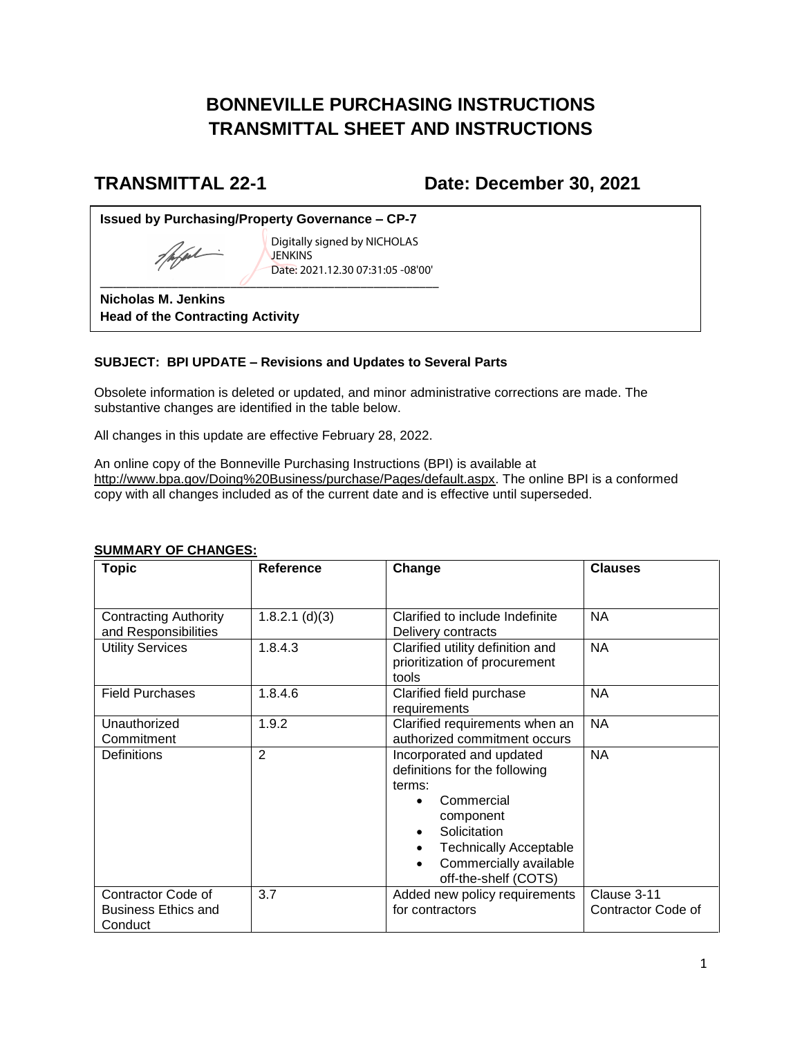# **BONNEVILLE PURCHASING INSTRUCTIONS TRANSMITTAL SHEET AND INSTRUCTIONS**

## **TRANSMITTAL 22-1 Date: December 30, 2021**

**Issued by Purchasing/Property Governance – CP-7**

popul  $\overline{\phantom{a}}$ 

Digitally signed by NICHOLAS **JENKINS** Date: 2021.12.30 07:31:05 -08'00'

**Nicholas M. Jenkins Head of the Contracting Activity**

### **SUBJECT: BPI UPDATE – Revisions and Updates to Several Parts**

Obsolete information is deleted or updated, and minor administrative corrections are made. The substantive changes are identified in the table below.

All changes in this update are effective February 28, 2022.

An online copy of the Bonneville Purchasing Instructions (BPI) is available at [http://www.bpa.gov/Doing%20Business/purchase/Pages/default.aspx.](http://www.bpa.gov/Doing%20Business/purchase/Pages/default.aspx) The online BPI is a conformed copy with all changes included as of the current date and is effective until superseded.

| <b>Topic</b>                                                | <b>Reference</b> | Change                                                                                                                                                                                            | <b>Clauses</b>                    |
|-------------------------------------------------------------|------------------|---------------------------------------------------------------------------------------------------------------------------------------------------------------------------------------------------|-----------------------------------|
|                                                             |                  |                                                                                                                                                                                                   |                                   |
| <b>Contracting Authority</b><br>and Responsibilities        | $1.8.2.1$ (d)(3) | Clarified to include Indefinite<br>Delivery contracts                                                                                                                                             | <b>NA</b>                         |
| <b>Utility Services</b>                                     | 1.8.4.3          | Clarified utility definition and<br>prioritization of procurement<br>tools                                                                                                                        | <b>NA</b>                         |
| <b>Field Purchases</b>                                      | 1.8.4.6          | Clarified field purchase<br>requirements                                                                                                                                                          | <b>NA</b>                         |
| Unauthorized<br>Commitment                                  | 1.9.2            | Clarified requirements when an<br>authorized commitment occurs                                                                                                                                    | <b>NA</b>                         |
| Definitions                                                 | $\overline{2}$   | Incorporated and updated<br>definitions for the following<br>terms:<br>Commercial<br>component<br>Solicitation<br><b>Technically Acceptable</b><br>Commercially available<br>off-the-shelf (COTS) | <b>NA</b>                         |
| Contractor Code of<br><b>Business Ethics and</b><br>Conduct | 3.7              | Added new policy requirements<br>for contractors                                                                                                                                                  | Clause 3-11<br>Contractor Code of |

#### **SUMMARY OF CHANGES:**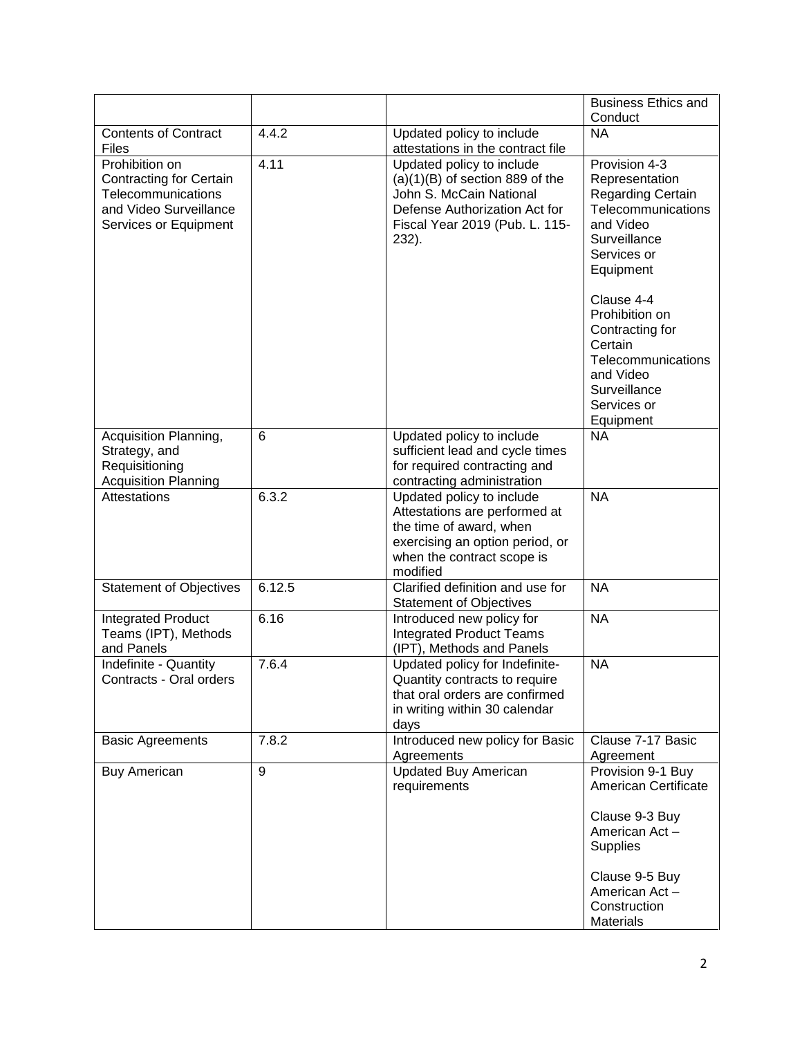|                                                                                                                           |        |                                                                                                                                                                       | <b>Business Ethics and</b><br>Conduct                                                                                                      |
|---------------------------------------------------------------------------------------------------------------------------|--------|-----------------------------------------------------------------------------------------------------------------------------------------------------------------------|--------------------------------------------------------------------------------------------------------------------------------------------|
| <b>Contents of Contract</b><br>Files                                                                                      | 4.4.2  | Updated policy to include<br>attestations in the contract file                                                                                                        | <b>NA</b>                                                                                                                                  |
| Prohibition on<br><b>Contracting for Certain</b><br>Telecommunications<br>and Video Surveillance<br>Services or Equipment | 4.11   | Updated policy to include<br>$(a)(1)(B)$ of section 889 of the<br>John S. McCain National<br>Defense Authorization Act for<br>Fiscal Year 2019 (Pub. L. 115-<br>232). | Provision 4-3<br>Representation<br><b>Regarding Certain</b><br>Telecommunications<br>and Video<br>Surveillance<br>Services or<br>Equipment |
|                                                                                                                           |        |                                                                                                                                                                       | Clause 4-4<br>Prohibition on<br>Contracting for<br>Certain<br>Telecommunications<br>and Video<br>Surveillance<br>Services or<br>Equipment  |
| Acquisition Planning,                                                                                                     | 6      | Updated policy to include                                                                                                                                             | <b>NA</b>                                                                                                                                  |
| Strategy, and<br>Requisitioning                                                                                           |        | sufficient lead and cycle times<br>for required contracting and                                                                                                       |                                                                                                                                            |
| <b>Acquisition Planning</b>                                                                                               |        | contracting administration                                                                                                                                            |                                                                                                                                            |
| Attestations                                                                                                              | 6.3.2  | Updated policy to include<br>Attestations are performed at<br>the time of award, when<br>exercising an option period, or<br>when the contract scope is<br>modified    | <b>NA</b>                                                                                                                                  |
| <b>Statement of Objectives</b>                                                                                            | 6.12.5 | Clarified definition and use for<br><b>Statement of Objectives</b>                                                                                                    | <b>NA</b>                                                                                                                                  |
| <b>Integrated Product</b><br>Teams (IPT), Methods<br>and Panels                                                           | 6.16   | Introduced new policy for<br><b>Integrated Product Teams</b><br>(IPT), Methods and Panels                                                                             | <b>NA</b>                                                                                                                                  |
| Indefinite - Quantity<br>Contracts - Oral orders                                                                          | 7.6.4  | Updated policy for Indefinite-<br>Quantity contracts to require<br>that oral orders are confirmed<br>in writing within 30 calendar<br>days                            | <b>NA</b>                                                                                                                                  |
| <b>Basic Agreements</b>                                                                                                   | 7.8.2  | Introduced new policy for Basic<br>Agreements                                                                                                                         | Clause 7-17 Basic<br>Agreement                                                                                                             |
| <b>Buy American</b>                                                                                                       | 9      | <b>Updated Buy American</b><br>requirements                                                                                                                           | Provision 9-1 Buy<br>American Certificate                                                                                                  |
|                                                                                                                           |        |                                                                                                                                                                       | Clause 9-3 Buy<br>American Act-<br><b>Supplies</b>                                                                                         |
|                                                                                                                           |        |                                                                                                                                                                       | Clause 9-5 Buy<br>American Act-<br>Construction<br>Materials                                                                               |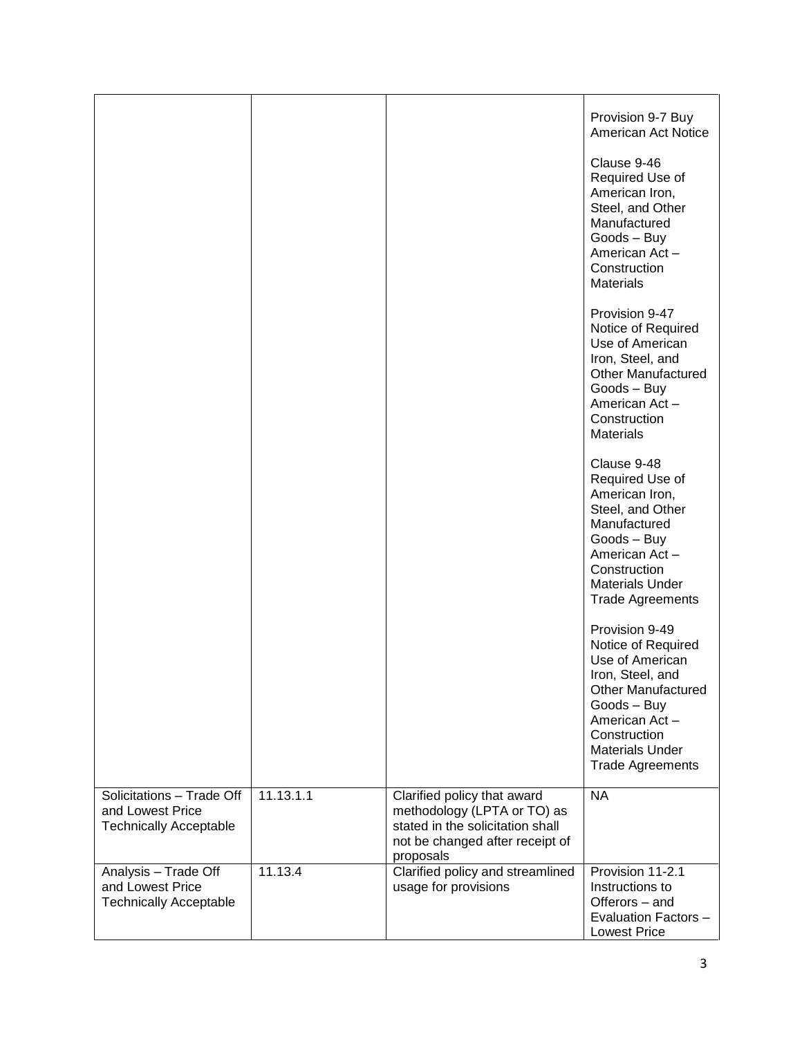|                                                                                |           |                                                                                                                                                | Provision 9-7 Buy<br>American Act Notice<br>Clause 9-46<br>Required Use of<br>American Iron,<br>Steel, and Other<br>Manufactured<br>Goods - Buy<br>American Act-<br>Construction<br><b>Materials</b>          |
|--------------------------------------------------------------------------------|-----------|------------------------------------------------------------------------------------------------------------------------------------------------|---------------------------------------------------------------------------------------------------------------------------------------------------------------------------------------------------------------|
|                                                                                |           |                                                                                                                                                | Provision 9-47<br>Notice of Required<br>Use of American<br>Iron, Steel, and<br><b>Other Manufactured</b><br>Goods - Buy<br>American Act-<br>Construction<br><b>Materials</b>                                  |
|                                                                                |           |                                                                                                                                                | Clause 9-48<br>Required Use of<br>American Iron,<br>Steel, and Other<br>Manufactured<br>Goods - Buy<br>American Act-<br>Construction<br><b>Materials Under</b><br><b>Trade Agreements</b>                     |
|                                                                                |           |                                                                                                                                                | Provision 9-49<br>Notice of Required<br>Use of American<br>Iron, Steel, and<br><b>Other Manufactured</b><br>Goods - Buy<br>American Act-<br>Construction<br><b>Materials Under</b><br><b>Trade Agreements</b> |
| Solicitations - Trade Off<br>and Lowest Price<br><b>Technically Acceptable</b> | 11.13.1.1 | Clarified policy that award<br>methodology (LPTA or TO) as<br>stated in the solicitation shall<br>not be changed after receipt of<br>proposals | <b>NA</b>                                                                                                                                                                                                     |
| Analysis - Trade Off<br>and Lowest Price<br><b>Technically Acceptable</b>      | 11.13.4   | Clarified policy and streamlined<br>usage for provisions                                                                                       | Provision 11-2.1<br>Instructions to<br>Offerors - and<br>Evaluation Factors -<br><b>Lowest Price</b>                                                                                                          |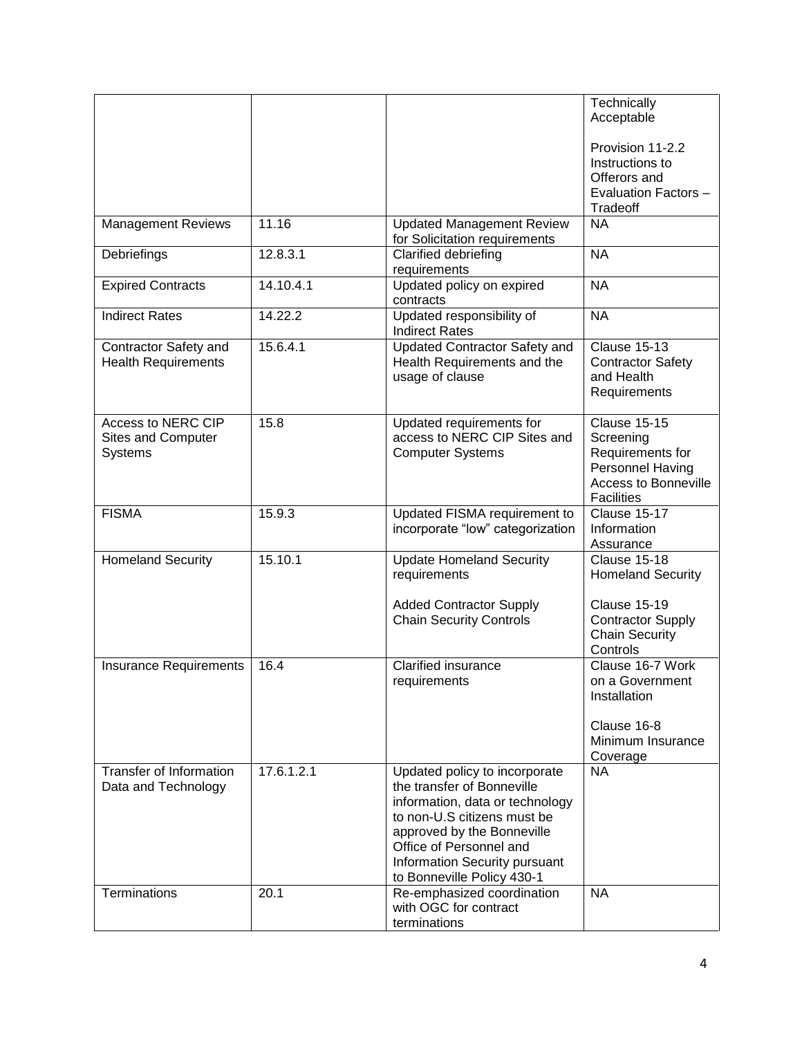|                                                     |            |                                                                                                                                                                                                                                                       | Technically<br>Acceptable                                                                                                    |
|-----------------------------------------------------|------------|-------------------------------------------------------------------------------------------------------------------------------------------------------------------------------------------------------------------------------------------------------|------------------------------------------------------------------------------------------------------------------------------|
|                                                     |            |                                                                                                                                                                                                                                                       |                                                                                                                              |
|                                                     |            |                                                                                                                                                                                                                                                       | Provision 11-2.2                                                                                                             |
|                                                     |            |                                                                                                                                                                                                                                                       | Instructions to<br>Offerors and                                                                                              |
|                                                     |            |                                                                                                                                                                                                                                                       | Evaluation Factors -                                                                                                         |
|                                                     |            |                                                                                                                                                                                                                                                       | Tradeoff                                                                                                                     |
| <b>Management Reviews</b>                           | 11.16      | <b>Updated Management Review</b><br>for Solicitation requirements                                                                                                                                                                                     | <b>NA</b>                                                                                                                    |
| Debriefings                                         | 12.8.3.1   | Clarified debriefing<br>requirements                                                                                                                                                                                                                  | <b>NA</b>                                                                                                                    |
| <b>Expired Contracts</b>                            | 14.10.4.1  | Updated policy on expired<br>contracts                                                                                                                                                                                                                | <b>NA</b>                                                                                                                    |
| <b>Indirect Rates</b>                               | 14.22.2    | Updated responsibility of<br><b>Indirect Rates</b>                                                                                                                                                                                                    | <b>NA</b>                                                                                                                    |
| Contractor Safety and<br><b>Health Requirements</b> | 15.6.4.1   | <b>Updated Contractor Safety and</b><br>Health Requirements and the<br>usage of clause                                                                                                                                                                | <b>Clause 15-13</b><br><b>Contractor Safety</b><br>and Health<br>Requirements                                                |
| Access to NERC CIP<br>Sites and Computer<br>Systems | 15.8       | Updated requirements for<br>access to NERC CIP Sites and<br><b>Computer Systems</b>                                                                                                                                                                   | <b>Clause 15-15</b><br>Screening<br>Requirements for<br>Personnel Having<br><b>Access to Bonneville</b><br><b>Facilities</b> |
| <b>FISMA</b>                                        | 15.9.3     | Updated FISMA requirement to<br>incorporate "low" categorization                                                                                                                                                                                      | Clause 15-17<br>Information<br>Assurance                                                                                     |
| <b>Homeland Security</b>                            | 15.10.1    | <b>Update Homeland Security</b><br>requirements                                                                                                                                                                                                       | <b>Clause 15-18</b><br><b>Homeland Security</b>                                                                              |
|                                                     |            | <b>Added Contractor Supply</b><br><b>Chain Security Controls</b>                                                                                                                                                                                      | <b>Clause 15-19</b><br><b>Contractor Supply</b><br><b>Chain Security</b><br>Controls                                         |
| Insurance Requirements                              | 16.4       | <b>Clarified insurance</b><br>requirements                                                                                                                                                                                                            | Clause 16-7 Work<br>on a Government<br>Installation<br>Clause 16-8<br>Minimum Insurance                                      |
| Transfer of Information                             | 17.6.1.2.1 |                                                                                                                                                                                                                                                       | Coverage<br><b>NA</b>                                                                                                        |
| Data and Technology                                 |            | Updated policy to incorporate<br>the transfer of Bonneville<br>information, data or technology<br>to non-U.S citizens must be<br>approved by the Bonneville<br>Office of Personnel and<br>Information Security pursuant<br>to Bonneville Policy 430-1 |                                                                                                                              |
| Terminations                                        | 20.1       | Re-emphasized coordination<br>with OGC for contract<br>terminations                                                                                                                                                                                   | <b>NA</b>                                                                                                                    |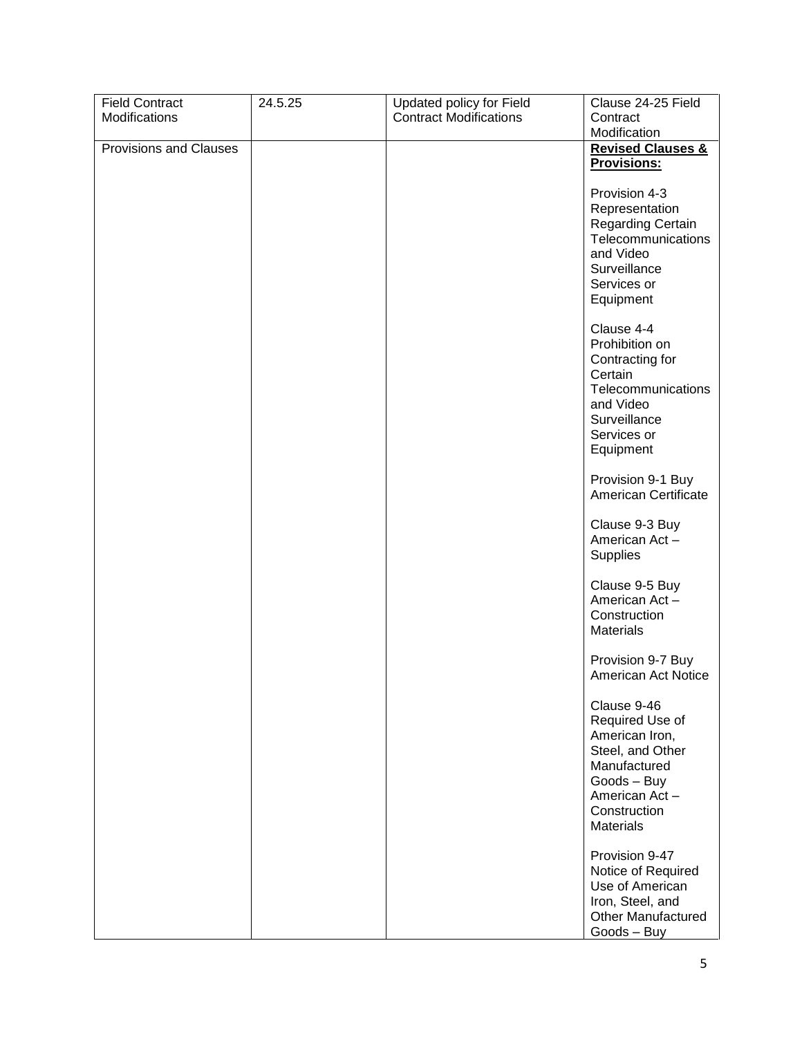| <b>Field Contract</b>  | 24.5.25 | Updated policy for Field      | Clause 24-25 Field                            |
|------------------------|---------|-------------------------------|-----------------------------------------------|
| Modifications          |         | <b>Contract Modifications</b> | Contract                                      |
|                        |         |                               | Modification                                  |
| Provisions and Clauses |         |                               | <b>Revised Clauses &amp;</b>                  |
|                        |         |                               | <b>Provisions:</b>                            |
|                        |         |                               |                                               |
|                        |         |                               | Provision 4-3                                 |
|                        |         |                               | Representation                                |
|                        |         |                               | Regarding Certain<br>Telecommunications       |
|                        |         |                               | and Video                                     |
|                        |         |                               | Surveillance                                  |
|                        |         |                               | Services or                                   |
|                        |         |                               | Equipment                                     |
|                        |         |                               |                                               |
|                        |         |                               | Clause 4-4                                    |
|                        |         |                               | Prohibition on                                |
|                        |         |                               | Contracting for                               |
|                        |         |                               | Certain                                       |
|                        |         |                               | Telecommunications                            |
|                        |         |                               | and Video<br>Surveillance                     |
|                        |         |                               | Services or                                   |
|                        |         |                               | Equipment                                     |
|                        |         |                               |                                               |
|                        |         |                               | Provision 9-1 Buy                             |
|                        |         |                               | American Certificate                          |
|                        |         |                               |                                               |
|                        |         |                               | Clause 9-3 Buy                                |
|                        |         |                               | American Act-                                 |
|                        |         |                               | <b>Supplies</b>                               |
|                        |         |                               | Clause 9-5 Buy                                |
|                        |         |                               | American Act-                                 |
|                        |         |                               | Construction                                  |
|                        |         |                               | <b>Materials</b>                              |
|                        |         |                               |                                               |
|                        |         |                               | Provision 9-7 Buy                             |
|                        |         |                               | American Act Notice                           |
|                        |         |                               |                                               |
|                        |         |                               | Clause 9-46                                   |
|                        |         |                               | Required Use of<br>American Iron,             |
|                        |         |                               | Steel, and Other                              |
|                        |         |                               | Manufactured                                  |
|                        |         |                               | Goods - Buy                                   |
|                        |         |                               | American Act-                                 |
|                        |         |                               | Construction                                  |
|                        |         |                               | <b>Materials</b>                              |
|                        |         |                               |                                               |
|                        |         |                               | Provision 9-47                                |
|                        |         |                               | Notice of Required                            |
|                        |         |                               | Use of American                               |
|                        |         |                               | Iron, Steel, and<br><b>Other Manufactured</b> |
|                        |         |                               | Goods - Buy                                   |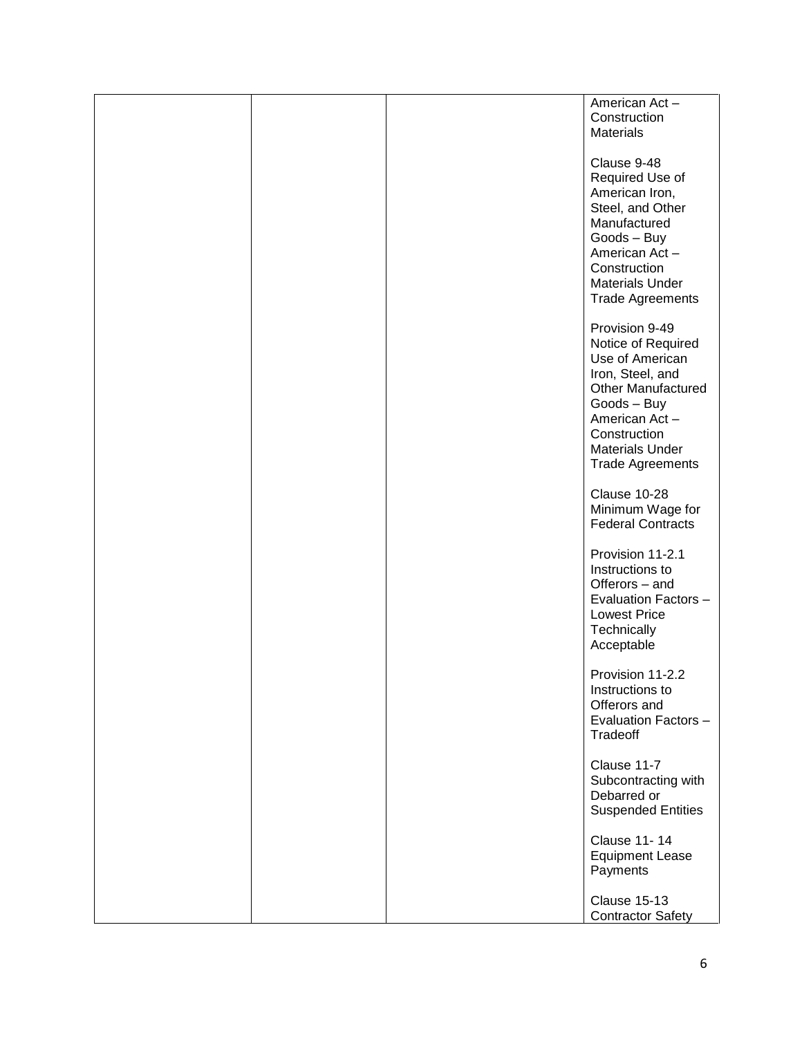|  | American Act-<br>Construction<br><b>Materials</b>                                                                                                                                                             |
|--|---------------------------------------------------------------------------------------------------------------------------------------------------------------------------------------------------------------|
|  | Clause 9-48<br>Required Use of<br>American Iron,<br>Steel, and Other<br>Manufactured<br>Goods - Buy<br>American Act-<br>Construction<br><b>Materials Under</b><br><b>Trade Agreements</b>                     |
|  | Provision 9-49<br>Notice of Required<br>Use of American<br>Iron, Steel, and<br><b>Other Manufactured</b><br>Goods - Buy<br>American Act-<br>Construction<br><b>Materials Under</b><br><b>Trade Agreements</b> |
|  | Clause 10-28<br>Minimum Wage for<br><b>Federal Contracts</b>                                                                                                                                                  |
|  | Provision 11-2.1<br>Instructions to<br>Offerors - and<br>Evaluation Factors -<br><b>Lowest Price</b><br>Technically<br>Acceptable                                                                             |
|  | Provision 11-2.2<br>Instructions to<br>Offerors and<br>Evaluation Factors -<br>Tradeoff                                                                                                                       |
|  | Clause 11-7<br>Subcontracting with<br>Debarred or<br><b>Suspended Entities</b>                                                                                                                                |
|  | <b>Clause 11-14</b><br><b>Equipment Lease</b><br>Payments                                                                                                                                                     |
|  | <b>Clause 15-13</b><br><b>Contractor Safety</b>                                                                                                                                                               |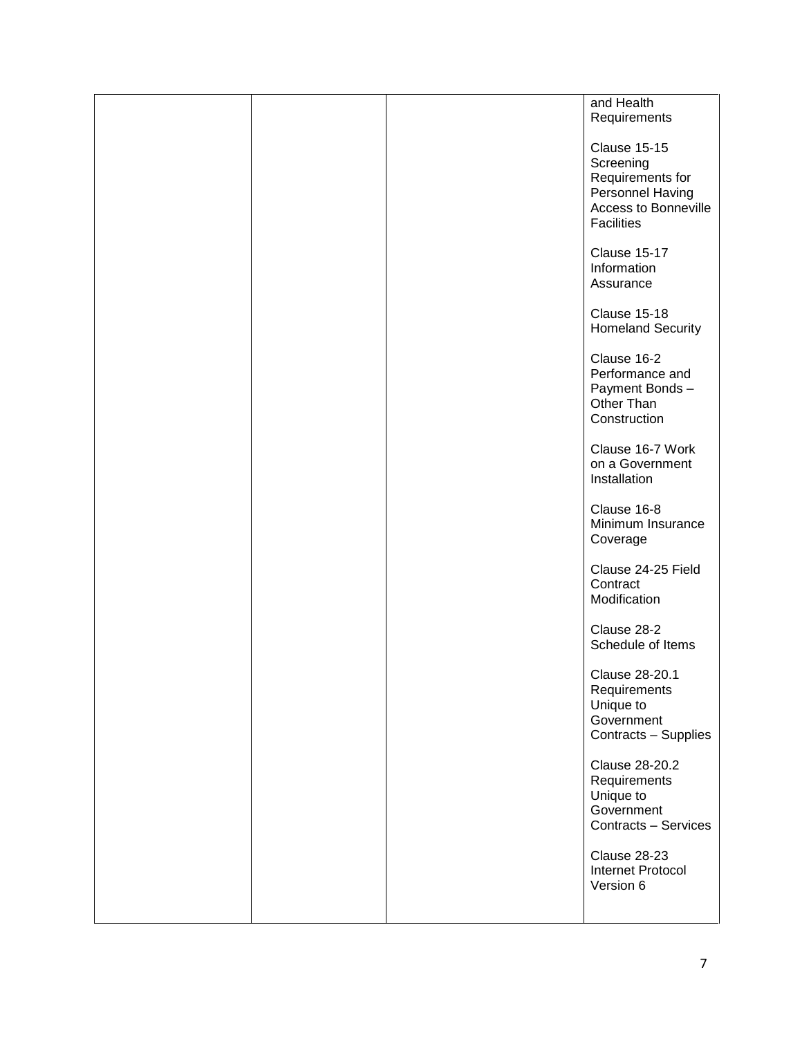|  | and Health<br>Requirements                                                                                     |
|--|----------------------------------------------------------------------------------------------------------------|
|  | <b>Clause 15-15</b><br>Screening<br>Requirements for<br>Personnel Having<br>Access to Bonneville<br>Facilities |
|  | <b>Clause 15-17</b><br>Information<br>Assurance                                                                |
|  | Clause 15-18<br><b>Homeland Security</b>                                                                       |
|  | Clause 16-2<br>Performance and<br>Payment Bonds-<br>Other Than<br>Construction                                 |
|  | Clause 16-7 Work<br>on a Government<br>Installation                                                            |
|  | Clause 16-8<br>Minimum Insurance<br>Coverage                                                                   |
|  | Clause 24-25 Field<br>Contract<br>Modification                                                                 |
|  | Clause 28-2<br>Schedule of Items                                                                               |
|  | Clause 28-201<br>Requirements<br>Unique to<br>Government<br>Contracts - Supplies                               |
|  | Clause 28-20.2<br>Requirements<br>Unique to<br>Government<br>Contracts - Services                              |
|  | Clause 28-23<br>Internet Protocol<br>Version 6                                                                 |
|  |                                                                                                                |